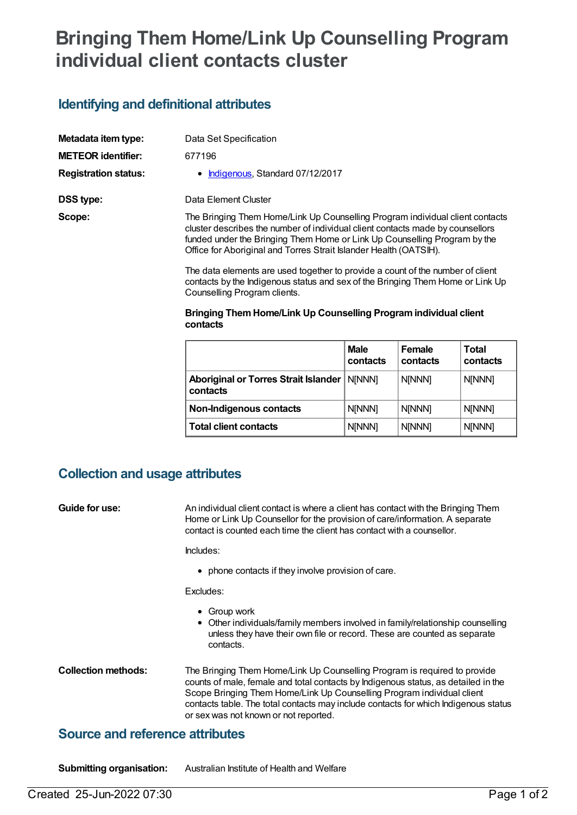# **Bringing Them Home/Link Up Counselling Program individual client contacts cluster**

## **Identifying and definitional attributes**

| Metadata item type:         | Data Set Specification                                                                                                                                                                                                                                                                                            |
|-----------------------------|-------------------------------------------------------------------------------------------------------------------------------------------------------------------------------------------------------------------------------------------------------------------------------------------------------------------|
| <b>METEOR identifier:</b>   | 677196                                                                                                                                                                                                                                                                                                            |
| <b>Registration status:</b> | • Indigenous, Standard 07/12/2017                                                                                                                                                                                                                                                                                 |
| DSS type:                   | Data Element Cluster                                                                                                                                                                                                                                                                                              |
| Scope:                      | The Bringing Them Home/Link Up Counselling Program individual client contacts<br>cluster describes the number of individual client contacts made by counsellors<br>funded under the Bringing Them Home or Link Up Counselling Program by the<br>Office for Aboriginal and Torres Strait Islander Health (OATSIH). |
|                             | The data elements are used together to provide a count of the number of client<br>contacts by the Indigenous status and sex of the Bringing Them Home or Link Up                                                                                                                                                  |

## contacts by the Indigenous status and sex of the Bringing Them Home or Link Up Counselling Program clients.

#### **Bringing ThemHome/Link Up Counselling Programindividual client contacts**

|                                                           | <b>Male</b><br>contacts | <b>Female</b><br>contacts | <b>Total</b><br>contacts |
|-----------------------------------------------------------|-------------------------|---------------------------|--------------------------|
| Aboriginal or Torres Strait Islander   N[NNN]<br>contacts |                         | <b>N[NNN]</b>             | N[NNN]                   |
| Non-Indigenous contacts                                   | <b>N[NNN]</b>           | <b>N[NNN]</b>             | <b>N[NNN]</b>            |
| <b>Total client contacts</b>                              | <b>N[NNN]</b>           | <b>N[NNN]</b>             | N[NNN]                   |

## **Collection and usage attributes**

| <b>Guide for use:</b>                  | An individual client contact is where a client has contact with the Bringing Them<br>Home or Link Up Counsellor for the provision of care/information. A separate<br>contact is counted each time the client has contact with a counsellor.                                                                                                                               |  |  |
|----------------------------------------|---------------------------------------------------------------------------------------------------------------------------------------------------------------------------------------------------------------------------------------------------------------------------------------------------------------------------------------------------------------------------|--|--|
|                                        | Includes:                                                                                                                                                                                                                                                                                                                                                                 |  |  |
|                                        | • phone contacts if they involve provision of care.                                                                                                                                                                                                                                                                                                                       |  |  |
|                                        | Excludes:                                                                                                                                                                                                                                                                                                                                                                 |  |  |
|                                        | Group work<br>• Other individuals/family members involved in family/relationship counselling<br>unless they have their own file or record. These are counted as separate<br>contacts.                                                                                                                                                                                     |  |  |
| <b>Collection methods:</b>             | The Bringing Them Home/Link Up Counselling Program is required to provide<br>counts of male, female and total contacts by Indigenous status, as detailed in the<br>Scope Bringing Them Home/Link Up Counselling Program individual client<br>contacts table. The total contacts may include contacts for which Indigenous status<br>or sex was not known or not reported. |  |  |
| <b>Source and reference attributes</b> |                                                                                                                                                                                                                                                                                                                                                                           |  |  |

**Submitting organisation:** Australian Institute of Health and Welfare